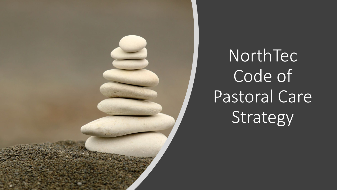

NorthTec Code of Pastoral Care Strategy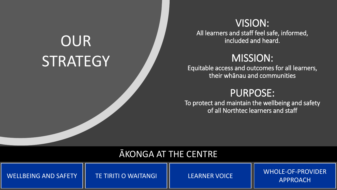# **OUR STRATEGY**

## VISION:

All learners and staff feel safe, informed, included and heard.

## MISSION:

Equitable access and outcomes for all learners, their whānau and communities

## PURPOSE:

To protect and maintain the wellbeing and safety of all Northtec learners and staff

### ĀKONGA AT THE CENTRE

WHOLE-OF-PROVIDER WELLBEING AND SAFETY | TE TIRITI O WAITANGI | LEARNER VOICE | WILDEE OF THOT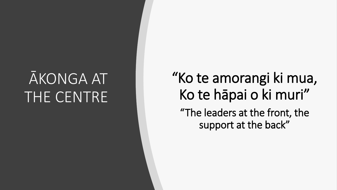# AKONGA AT THE CENTRE

## "Ko te amorangi ki mua, Ko te hāpai o ki muri" "The leaders at the front, the support at the back"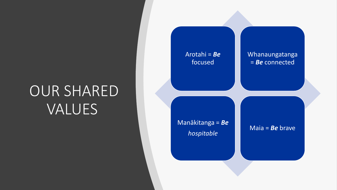# OUR SHARED VALUES

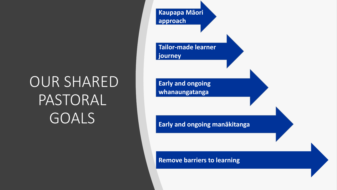# OUR SHARED PASTORAL GOALS

**Kaupapa Māori approach Tailor-made learner journey Early and ongoing whanaungatanga**

**Early and ongoing manākitanga**

**Remove barriers to learning**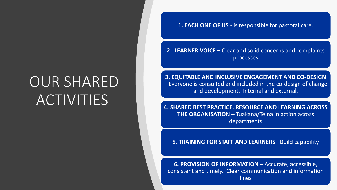# OUR SHARED ACTIVITIES

**1. EACH ONE OF US** - is responsible for pastoral care.

**2. LEARNER VOICE –** Clear and solid concerns and complaints processes

**3. EQUITABLE AND INCLUSIVE ENGAGEMENT AND CO-DESIGN**  – Everyone is consulted and included in the co-design of change and development. Internal and external.

**4. SHARED BEST PRACTICE, RESOURCE AND LEARNING ACROSS THE ORGANISATION** – Tuakana/Teina in action across departments

**5. TRAINING FOR STAFF AND LEARNERS**– Build capability

**6. PROVISION OF INFORMATION** – Accurate, accessible, consistent and timely. Clear communication and information lines